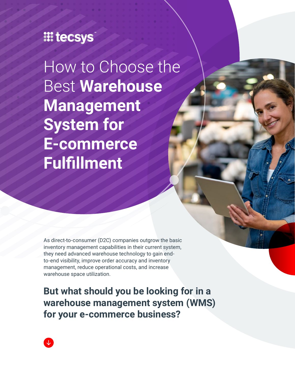### **III tecsys**

How to Choose the Best **Warehouse Management System for E-commerce Fulfillment**

As direct-to-consumer (D2C) companies outgrow the basic inventory management capabilities in their current system, they need advanced warehouse technology to gain endto-end visibility, improve order accuracy and inventory management, reduce operational costs, and increase warehouse space utilization.

**But what should you be looking for in a warehouse management system (WMS) for your e-commerce business?**

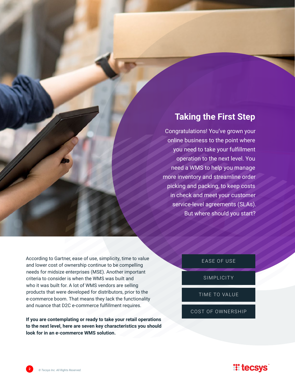#### **Taking the First Step**

Congratulations! You've grown your online business to the point where you need to take your fulfillment operation to the next level. You need a WMS to help you manage more inventory and streamline order picking and packing, to keep costs in check and meet your customer service-level agreements (SLAs). But where should you start?

According to Gartner, ease of use, simplicity, time to value and lower cost of ownership continue to be compelling needs for midsize enterprises (MSE). Another important criteria to consider is when the WMS was built and who it was built for. A lot of WMS vendors are selling products that were developed for distributors, prior to the e-commerce boom. That means they lack the functionality and nuance that D2C e-commerce fulfillment requires.

**If you are contemplating or ready to take your retail operations to the next level, here are seven key characteristics you should look for in an e-commerce WMS solution.**

EASE OF USE

SIMPLICITY

TIME TO VALUE

COST OF OWNERSHIP

#### **II tecsys**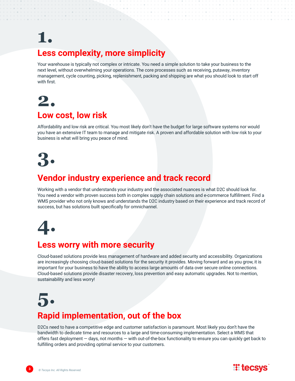# **1.**

#### **Less complexity, more simplicity**

Your warehouse is typically not complex or intricate. You need a simple solution to take your business to the next level, without overwhelming your operations. The core processes such as receiving, putaway, inventory management, cycle counting, picking, replenishment, packing and shipping are what you should look to start off with first.

### **2. Low cost, low risk**

Affordability and low risk are critical. You most likely don't have the budget for large software systems nor would you have an extensive IT team to manage and mitigate risk. A proven and affordable solution with low risk to your business is what will bring you peace of mind.



#### **Vendor industry experience and track record**

Working with a vendor that understands your industry and the associated nuances is what D2C should look for. You need a vendor with proven success both in complex supply chain solutions and e-commerce fulfillment. Find a WMS provider who not only knows and understands the D2C industry based on their experience and track record of success, but has solutions built specifically for omnichannel.

**4.**

#### **Less worry with more security**

Cloud-based solutions provide less management of hardware and added security and accessibility. Organizations are increasingly choosing cloud-based solutions for the security it provides. Moving forward and as you grow, it is important for your business to have the ability to access large amounts of data over secure online connections. Cloud-based solutions provide disaster recovery, loss prevention and easy automatic upgrades. Not to mention, sustainability and less worry!

# **5. Rapid implementation, out of the box**

D2Cs need to have a competitive edge and customer satisfaction is paramount. Most likely you don't have the bandwidth to dedicate time and resources to a large and time-consuming implementation. Select a WMS that offers fast deployment — days, not months — with out-of-the-box functionality to ensure you can quickly get back to fulfilling orders and providing optimal service to your customers.